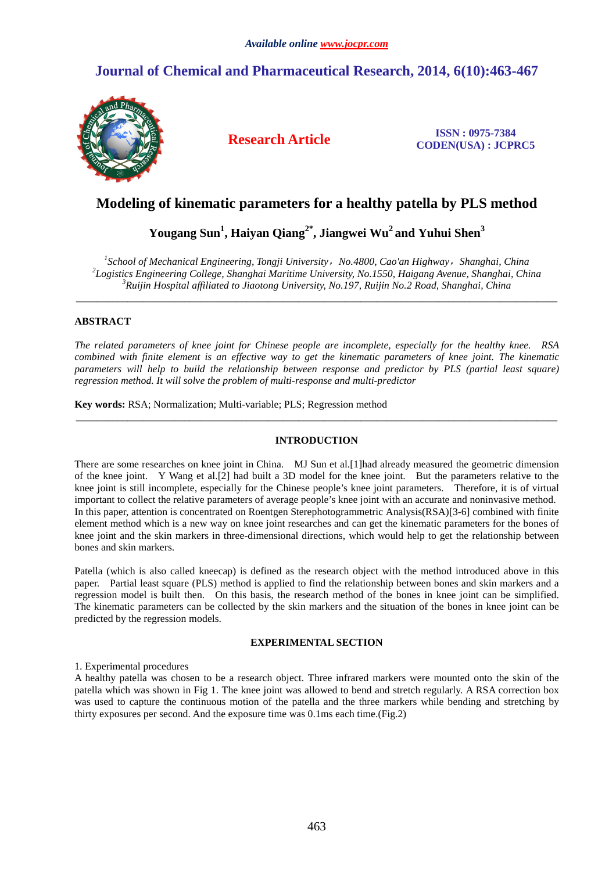# **Journal of Chemical and Pharmaceutical Research, 2014, 6(10):463-467**



**Research Article ISSN : 0975-7384 CODEN(USA) : JCPRC5**

# **Modeling of kinematic parameters for a healthy patella by PLS method**

**Yougang Sun<sup>1</sup> , Haiyan Qiang2\*, Jiangwei Wu<sup>2</sup>and Yuhui Shen<sup>3</sup>**

*1 School of Mechanical Engineering, Tongji University*,*No.4800, Cao'an Highway*,*Shanghai, China 2 Logistics Engineering College, Shanghai Maritime University, No.1550, Haigang Avenue, Shanghai, China <sup>3</sup>Ruijin Hospital affiliated to Jiaotong University, No.197, Ruijin No.2 Road, Shanghai, China* 

\_\_\_\_\_\_\_\_\_\_\_\_\_\_\_\_\_\_\_\_\_\_\_\_\_\_\_\_\_\_\_\_\_\_\_\_\_\_\_\_\_\_\_\_\_\_\_\_\_\_\_\_\_\_\_\_\_\_\_\_\_\_\_\_\_\_\_\_\_\_\_\_\_\_\_\_\_\_\_\_\_\_\_\_\_\_\_\_\_\_\_\_\_

## **ABSTRACT**

*The related parameters of knee joint for Chinese people are incomplete, especially for the healthy knee. RSA combined with finite element is an effective way to get the kinematic parameters of knee joint. The kinematic parameters will help to build the relationship between response and predictor by PLS (partial least square) regression method. It will solve the problem of multi-response and multi-predictor* 

**Key words:** RSA; Normalization; Multi-variable; PLS; Regression method

## **INTRODUCTION**

\_\_\_\_\_\_\_\_\_\_\_\_\_\_\_\_\_\_\_\_\_\_\_\_\_\_\_\_\_\_\_\_\_\_\_\_\_\_\_\_\_\_\_\_\_\_\_\_\_\_\_\_\_\_\_\_\_\_\_\_\_\_\_\_\_\_\_\_\_\_\_\_\_\_\_\_\_\_\_\_\_\_\_\_\_\_\_\_\_\_\_\_\_

There are some researches on knee joint in China. MJ Sun et al.[1]had already measured the geometric dimension of the knee joint. Y Wang et al.[2] had built a 3D model for the knee joint. But the parameters relative to the knee joint is still incomplete, especially for the Chinese people's knee joint parameters. Therefore, it is of virtual important to collect the relative parameters of average people's knee joint with an accurate and noninvasive method. In this paper, attention is concentrated on Roentgen Sterephotogrammetric Analysis(RSA)[3-6] combined with finite element method which is a new way on knee joint researches and can get the kinematic parameters for the bones of knee joint and the skin markers in three-dimensional directions, which would help to get the relationship between bones and skin markers.

Patella (which is also called kneecap) is defined as the research object with the method introduced above in this paper. Partial least square (PLS) method is applied to find the relationship between bones and skin markers and a regression model is built then. On this basis, the research method of the bones in knee joint can be simplified. The kinematic parameters can be collected by the skin markers and the situation of the bones in knee joint can be predicted by the regression models.

# **EXPERIMENTAL SECTION**

1. Experimental procedures

A healthy patella was chosen to be a research object. Three infrared markers were mounted onto the skin of the patella which was shown in Fig 1. The knee joint was allowed to bend and stretch regularly. A RSA correction box was used to capture the continuous motion of the patella and the three markers while bending and stretching by thirty exposures per second. And the exposure time was 0.1ms each time.(Fig.2)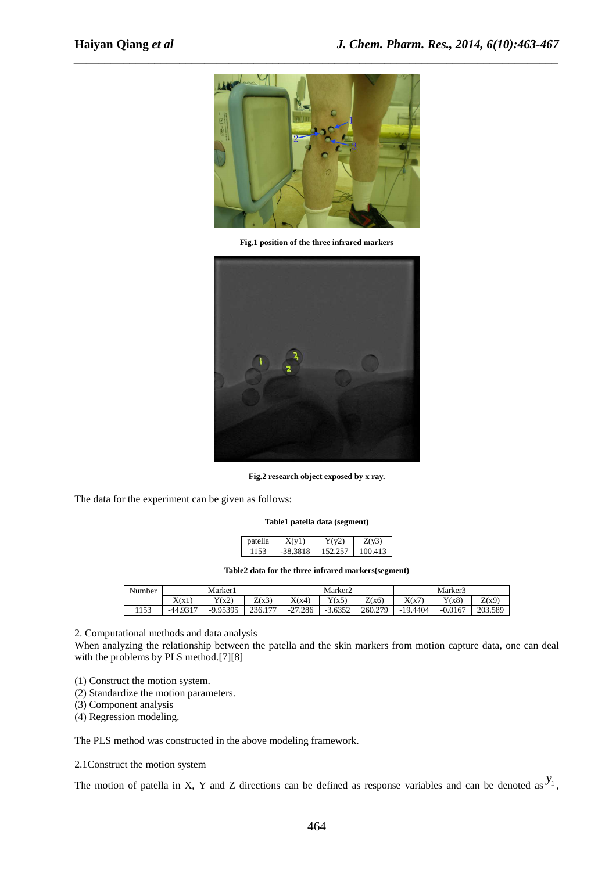

**Fig.1 position of the three infrared markers** 



**Fig.2 research object exposed by x ray.** 

The data for the experiment can be given as follows:

### **Table1 patella data (segment)**

| ۰a | -      | $\sim$ |
|----|--------|--------|
|    | -<br>◡ |        |

**Table2 data for the three infrared markers(segment)**

| Number | Marker <sub>1</sub> |            |         | Marker2                      |                  |         | Marker3    |           |         |
|--------|---------------------|------------|---------|------------------------------|------------------|---------|------------|-----------|---------|
|        | X(x)                | Y(x2)      | Z(x3)   | X(x4)                        | Y(x5)            | Z(x6)   | X(x7)      | Y(x8)     | Z(x9)   |
| 1153   | $-449317$           | $-9.95395$ | 236.177 | .286<br>$\mathcal{L}$<br>-41 | $-3.6352$<br>- 7 | 260.279 | $-19.4404$ | $-0.0167$ | 203.589 |

2. Computational methods and data analysis

When analyzing the relationship between the patella and the skin markers from motion capture data, one can deal with the problems by PLS method.[7][8]

- (1) Construct the motion system.
- (2) Standardize the motion parameters.
- (3) Component analysis

(4) Regression modeling.

The PLS method was constructed in the above modeling framework.

## 2.1Construct the motion system

The motion of patella in X, Y and Z directions can be defined as response variables and can be denoted as  $y_1$ ,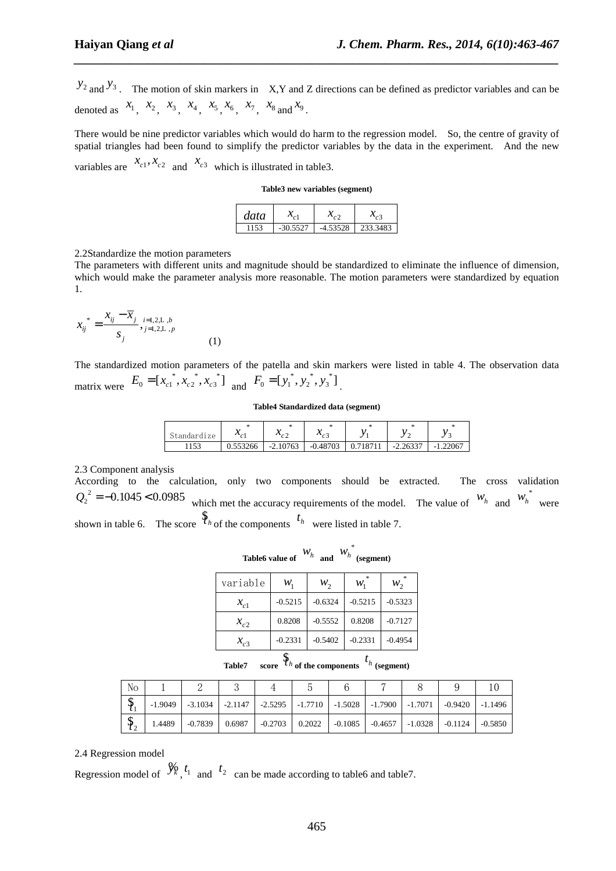$y_2$  and  $y_3$ . The motion of skin markers in X,Y and Z directions can be defined as predictor variables and can be denoted as  $x_1$ ,  $x_2$ ,  $x_3$ ,  $x_4$ ,  $x_5$ ,  $x_6$ ,  $x_7$ ,  $x_8$  and  $x_9$ .

*\_\_\_\_\_\_\_\_\_\_\_\_\_\_\_\_\_\_\_\_\_\_\_\_\_\_\_\_\_\_\_\_\_\_\_\_\_\_\_\_\_\_\_\_\_\_\_\_\_\_\_\_\_\_\_\_\_\_\_\_\_\_\_\_\_\_\_\_\_\_\_\_\_\_\_\_\_\_*

There would be nine predictor variables which would do harm to the regression model. So, the centre of gravity of spatial triangles had been found to simplify the predictor variables by the data in the experiment. And the new variables are  $x_{c1}$ ,  $x_{c2}$  and  $x_{c3}$  which is illustrated in table3.

**Table3 new variables (segment)** 

| data |            |            |          |
|------|------------|------------|----------|
| 1153 | $-30.5527$ | $-4.53528$ | 233.3483 |

2.2Standardize the motion parameters

The parameters with different units and magnitude should be standardized to eliminate the influence of dimension, which would make the parameter analysis more reasonable. The motion parameters were standardized by equation 1.

$$
x_{ij}^* = \frac{x_{ij} - \overline{x}_j}{s_j},_{j=1,2,\text{L},p}^{i=1,2,\text{L},b}
$$
\n(1)

The standardized motion parameters of the patella and skin markers were listed in table 4. The observation data matrix were  $E_0 = [x_{c1}^*, x_{c2}^*, x_{c3}^*]$  and  $F_0 = [y_1^*, y_2^*, y_3^*]$ 

#### **Table4 Standardized data (segment)**

| Standardize | - -<br>$\mathcal{N}_{\alpha}$<br>ັ້ | $\bullet$<br>$\mathcal{N}_{\alpha}$<br>∸ | ъ.<br>$\mathcal{N}_{\alpha}$ |                     |                |
|-------------|-------------------------------------|------------------------------------------|------------------------------|---------------------|----------------|
| 1153        | 0.553266                            | $-2.10763$                               | $-0.48703$                   | 2.2527<br>$ \prime$ | 1.22067<br>- 1 |

2.3 Component analysis

According to the calculation, only two components should be extracted. The cross validation  $Q_2^2 = -0.1045 < 0.0985$  which met the accuracy requirements of the model. The value of  $W_h$  and  $W_h^*$  were shown in table 6. The score  $\hat{\mathcal{F}}_h$  of the components  $f_h$  were listed in table 7.

|                 | and | $W_h$ (segment) |
|-----------------|-----|-----------------|
| Table6 value of |     |                 |

| variable           | $\mathcal{W}_1$ | $W_2$     | ×<br>$\mathcal{W}_1$ | ×<br>$W_2$ |
|--------------------|-----------------|-----------|----------------------|------------|
| $\mathcal{X}_{c1}$ | $-0.5215$       | $-0.6324$ | $-0.5215$            | $-0.5323$  |
| $x_{c2}$           | 0.8208          | $-0.5552$ | 0.8208               | $-0.7127$  |
| $x_{c3}$           | $-0.2331$       | $-0.5402$ | $-0.2331$            | $-0.4954$  |
|                    |                 |           |                      |            |

| <b>Table7</b> | score $\mathcal{I} h$ of the components $\mathcal{I} h$ (segment) |  |
|---------------|-------------------------------------------------------------------|--|
|               |                                                                   |  |

| No |           |           |        |  |  |                                                                                                                |  |
|----|-----------|-----------|--------|--|--|----------------------------------------------------------------------------------------------------------------|--|
| دی | $-1.9049$ |           |        |  |  | $-3.1034$ $-2.1147$ $-2.5295$ $-1.7710$ $-1.5028$ $-1.7900$ $-1.7071$ $-0.9420$ $-1.1496$                      |  |
| ึ  | 1.4489    | $-0.7839$ | 0.6987 |  |  | $\vert$ -0.2703 $\vert$ 0.2022 $\vert$ -0.1085 $\vert$ -0.4657 $\vert$ -1.0328 $\vert$ -0.1124 $\vert$ -0.5850 |  |

2.4 Regression model

Regression model of  $\mathcal{Y}_k$ ,  $t_1$  and  $t_2$  can be made according to table6 and table7.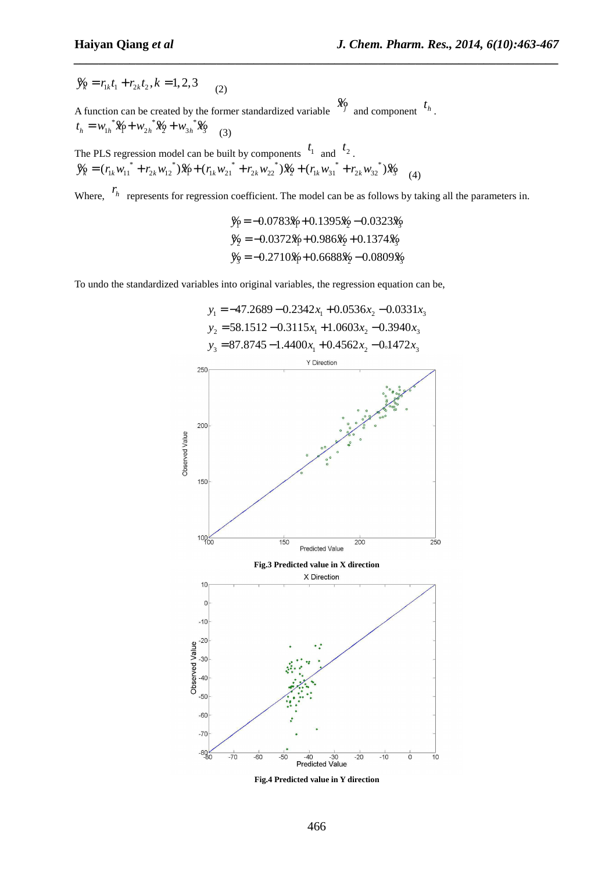$\mathcal{Y}_k = r_{1k} t_1 + r_{2k} t_2, k = 1,2,3$  (2)

A function can be created by the former standardized variable  $\frac{\mathcal{X}_0}{\mathcal{Y}}$  and component  $t_h$ .  $t_h = w_{1h}^* \mathcal{X}_1 + w_{2h}^* \mathcal{X}_2 + w_{3h}^* \mathcal{X}_3$  (3)

The PLS regression model can be built by components  $t_1$  and  $t_2$ .  $\mathcal{Y}_k = (r_{1k} w_{11}^* + r_{2k} w_{12}^*) \mathcal{X}_k + (r_{1k} w_{21}^* + r_{2k} w_{22}^*) \mathcal{X}_k + (r_{1k} w_{31}^* + r_{2k} w_{32}^*) \mathcal{X}_k$ <sup>4</sup>

Where,  $r_h$  represents for regression coefficient. The model can be as follows by taking all the parameters in.

$$
\begin{aligned} \n\mathcal{Y}_1 &= -0.0783\mathcal{X}_1 + 0.1395\mathcal{X}_2 - 0.0323\mathcal{X}_3 \\ \n\mathcal{Y}_2 &= -0.0372\mathcal{X}_1 + 0.986\mathcal{X}_2 + 0.1374\mathcal{X}_3 \\ \n\mathcal{Y}_3 &= -0.2710\mathcal{X}_1 + 0.6688\mathcal{X}_2 - 0.0809\mathcal{X}_3 \n\end{aligned}
$$

*\_\_\_\_\_\_\_\_\_\_\_\_\_\_\_\_\_\_\_\_\_\_\_\_\_\_\_\_\_\_\_\_\_\_\_\_\_\_\_\_\_\_\_\_\_\_\_\_\_\_\_\_\_\_\_\_\_\_\_\_\_\_\_\_\_\_\_\_\_\_\_\_\_\_\_\_\_\_*

To undo the standardized variables into original variables, the regression equation can be,



**Fig.4 Predicted value in Y direction**